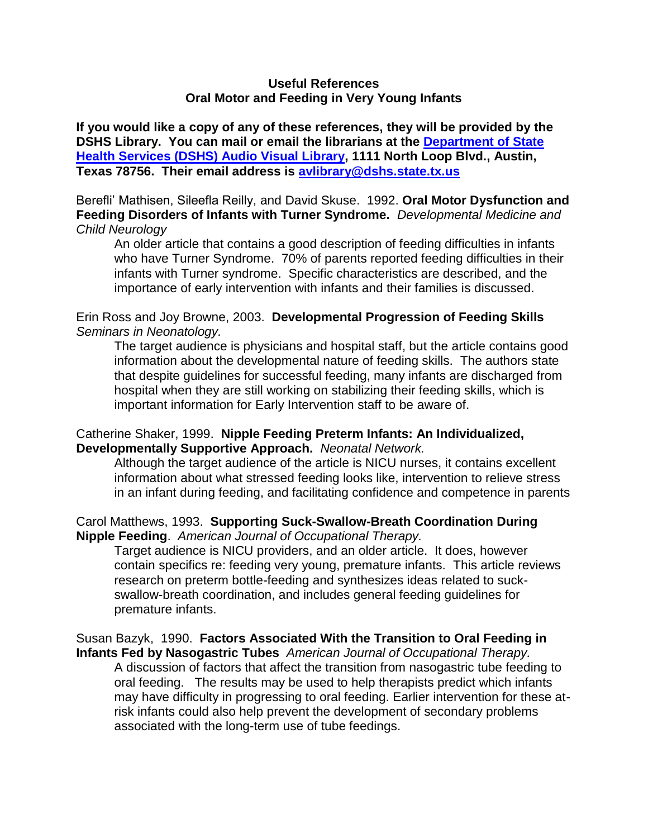### **Useful References Oral Motor and Feeding in Very Young Infants**

**If you would like a copy of any of these references, they will be provided by the DSHS Library. You can mail or email the librarians at the [Department of State](http://www.dshs.state.tx.us/avlib/ecirehab.shtm)  [Health Services \(DSHS\) Audio Visual Library,](http://www.dshs.state.tx.us/avlib/ecirehab.shtm) 1111 North Loop Blvd., Austin, Texas 78756. Their email address is [avlibrary@dshs.state.tx.us](mailto:avlibrary@dshs.state.tx.us)** 

Berefli' Mathisen, Sileefla Reilly, and David Skuse. 1992. **Oral Motor Dysfunction and Feeding Disorders of Infants with Turner Syndrome.** *Developmental Medicine and Child Neurology*

An older article that contains a good description of feeding difficulties in infants who have Turner Syndrome. 70% of parents reported feeding difficulties in their infants with Turner syndrome. Specific characteristics are described, and the importance of early intervention with infants and their families is discussed.

# Erin Ross and Joy Browne, 2003. **Developmental Progression of Feeding Skills** *Seminars in Neonatology.*

The target audience is physicians and hospital staff, but the article contains good information about the developmental nature of feeding skills. The authors state that despite guidelines for successful feeding, many infants are discharged from hospital when they are still working on stabilizing their feeding skills, which is important information for Early Intervention staff to be aware of.

# Catherine Shaker, 1999. **Nipple Feeding Preterm Infants: An Individualized, Developmentally Supportive Approach.** *Neonatal Network.*

Although the target audience of the article is NICU nurses, it contains excellent information about what stressed feeding looks like, intervention to relieve stress in an infant during feeding, and facilitating confidence and competence in parents

# Carol Matthews, 1993. **Supporting Suck-Swallow-Breath Coordination During Nipple Feeding**. *American Journal of Occupational Therapy.*

Target audience is NICU providers, and an older article. It does, however contain specifics re: feeding very young, premature infants. This article reviews research on preterm bottle-feeding and synthesizes ideas related to suckswallow-breath coordination, and includes general feeding guidelines for premature infants.

### Susan Bazyk, 1990. **Factors Associated With the Transition to Oral Feeding in Infants Fed by Nasogastric Tubes** *American Journal of Occupational Therapy.*

A discussion of factors that affect the transition from nasogastric tube feeding to oral feeding. The results may be used to help therapists predict which infants may have difficulty in progressing to oral feeding. Earlier intervention for these atrisk infants could also help prevent the development of secondary problems associated with the long-term use of tube feedings.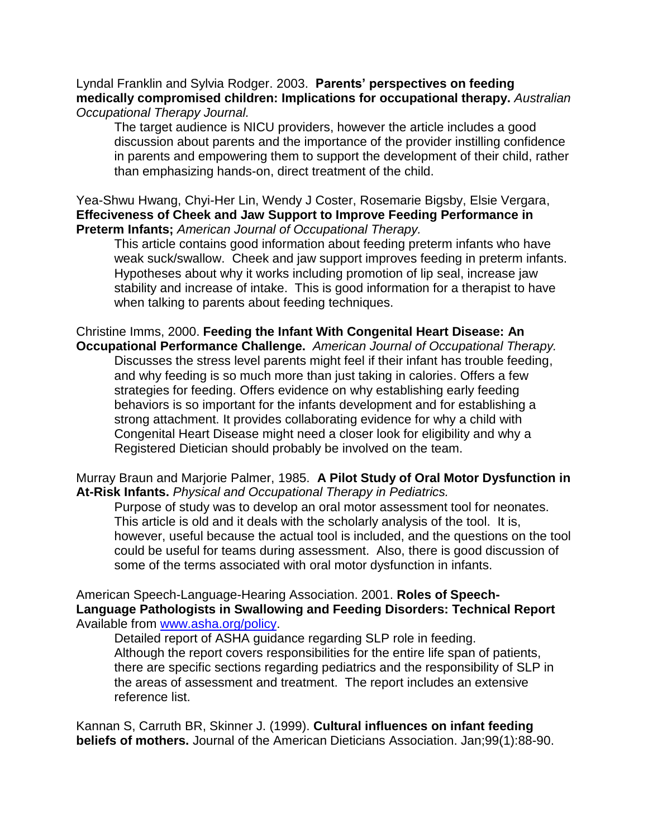Lyndal Franklin and Sylvia Rodger. 2003. **Parents' perspectives on feeding medically compromised children: Implications for occupational therapy.** *Australian Occupational Therapy Journal.* 

The target audience is NICU providers, however the article includes a good discussion about parents and the importance of the provider instilling confidence in parents and empowering them to support the development of their child, rather than emphasizing hands-on, direct treatment of the child.

Yea-Shwu Hwang, Chyi-Her Lin, Wendy J Coster, Rosemarie Bigsby, Elsie Vergara, **Effeciveness of Cheek and Jaw Support to Improve Feeding Performance in Preterm Infants;** *American Journal of Occupational Therapy.*

This article contains good information about feeding preterm infants who have weak suck/swallow. Cheek and jaw support improves feeding in preterm infants. Hypotheses about why it works including promotion of lip seal, increase jaw stability and increase of intake. This is good information for a therapist to have when talking to parents about feeding techniques.

Christine Imms, 2000. **Feeding the Infant With Congenital Heart Disease: An Occupational Performance Challenge.** *American Journal of Occupational Therapy.* Discusses the stress level parents might feel if their infant has trouble feeding, and why feeding is so much more than just taking in calories. Offers a few strategies for feeding. Offers evidence on why establishing early feeding behaviors is so important for the infants development and for establishing a strong attachment. It provides collaborating evidence for why a child with Congenital Heart Disease might need a closer look for eligibility and why a Registered Dietician should probably be involved on the team.

Murray Braun and Marjorie Palmer, 1985. **A Pilot Study of Oral Motor Dysfunction in At-Risk Infants.** *Physical and Occupational Therapy in Pediatrics.* 

Purpose of study was to develop an oral motor assessment tool for neonates. This article is old and it deals with the scholarly analysis of the tool. It is, however, useful because the actual tool is included, and the questions on the tool could be useful for teams during assessment. Also, there is good discussion of some of the terms associated with oral motor dysfunction in infants.

American Speech-Language-Hearing Association. 2001. **Roles of Speech-Language Pathologists in Swallowing and Feeding Disorders: Technical Report** Available from [www.asha.org/policy.](http://www.asha.org/policy)

Detailed report of ASHA guidance regarding SLP role in feeding. Although the report covers responsibilities for the entire life span of patients, there are specific sections regarding pediatrics and the responsibility of SLP in the areas of assessment and treatment. The report includes an extensive reference list.

Kannan S, Carruth BR, Skinner J. (1999). **Cultural influences on infant feeding beliefs of mothers.** Journal of the American Dieticians Association. Jan;99(1):88-90.